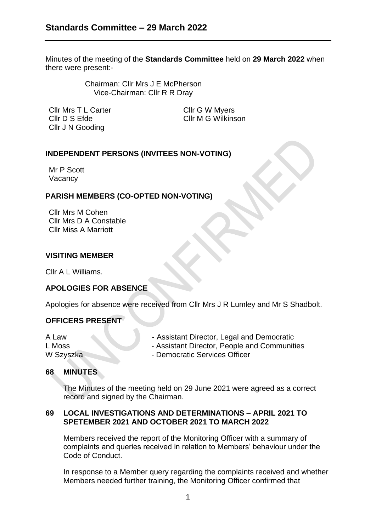Minutes of the meeting of the **Standards Committee** held on **29 March 2022** when there were present:-

> Chairman: Cllr Mrs J E McPherson Vice-Chairman: Cllr R R Dray

Cllr Mrs T L Carter Cllr G W Myers Cllr D S Efde Cllr M G Wilkinson Cllr J N Gooding

## **INDEPENDENT PERSONS (INVITEES NON-VOTING)**

Mr P Scott Vacancy

## **PARISH MEMBERS (CO-OPTED NON-VOTING)**

Cllr Mrs M Cohen Cllr Mrs D A Constable Cllr Miss A Marriott

### **VISITING MEMBER**

Cllr A L Williams.

# **APOLOGIES FOR ABSENCE**

Apologies for absence were received from Cllr Mrs J R Lumley and Mr S Shadbolt.

### **OFFICERS PRESENT**

- A Law  **Assistant Director, Legal and Democratic**
- L Moss  **Assistant Director, People and Communities**
- W Szyszka Democratic Services Officer

### **68 MINUTES**

The Minutes of the meeting held on 29 June 2021 were agreed as a correct record and signed by the Chairman.

### **69 LOCAL INVESTIGATIONS AND DETERMINATIONS – APRIL 2021 TO SPETEMBER 2021 AND OCTOBER 2021 TO MARCH 2022**

Members received the report of the Monitoring Officer with a summary of complaints and queries received in relation to Members' behaviour under the Code of Conduct.

In response to a Member query regarding the complaints received and whether Members needed further training, the Monitoring Officer confirmed that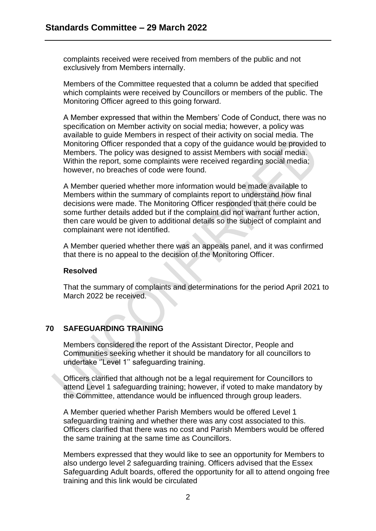complaints received were received from members of the public and not exclusively from Members internally.

Members of the Committee requested that a column be added that specified which complaints were received by Councillors or members of the public. The Monitoring Officer agreed to this going forward.

A Member expressed that within the Members' Code of Conduct, there was no specification on Member activity on social media; however, a policy was available to guide Members in respect of their activity on social media. The Monitoring Officer responded that a copy of the guidance would be provided to Members. The policy was designed to assist Members with social media. Within the report, some complaints were received regarding social media; however, no breaches of code were found.

A Member queried whether more information would be made available to Members within the summary of complaints report to understand how final decisions were made. The Monitoring Officer responded that there could be some further details added but if the complaint did not warrant further action, then care would be given to additional details so the subject of complaint and complainant were not identified.

A Member queried whether there was an appeals panel, and it was confirmed that there is no appeal to the decision of the Monitoring Officer.

### **Resolved**

That the summary of complaints and determinations for the period April 2021 to March 2022 be received.

# **70 SAFEGUARDING TRAINING**

Members considered the report of the Assistant Director, People and Communities seeking whether it should be mandatory for all councillors to undertake ''Level 1'' safeguarding training.

Officers clarified that although not be a legal requirement for Councillors to attend Level 1 safeguarding training; however, if voted to make mandatory by the Committee, attendance would be influenced through group leaders.

A Member queried whether Parish Members would be offered Level 1 safeguarding training and whether there was any cost associated to this. Officers clarified that there was no cost and Parish Members would be offered the same training at the same time as Councillors.

Members expressed that they would like to see an opportunity for Members to also undergo level 2 safeguarding training. Officers advised that the Essex Safeguarding Adult boards, offered the opportunity for all to attend ongoing free training and this link would be circulated